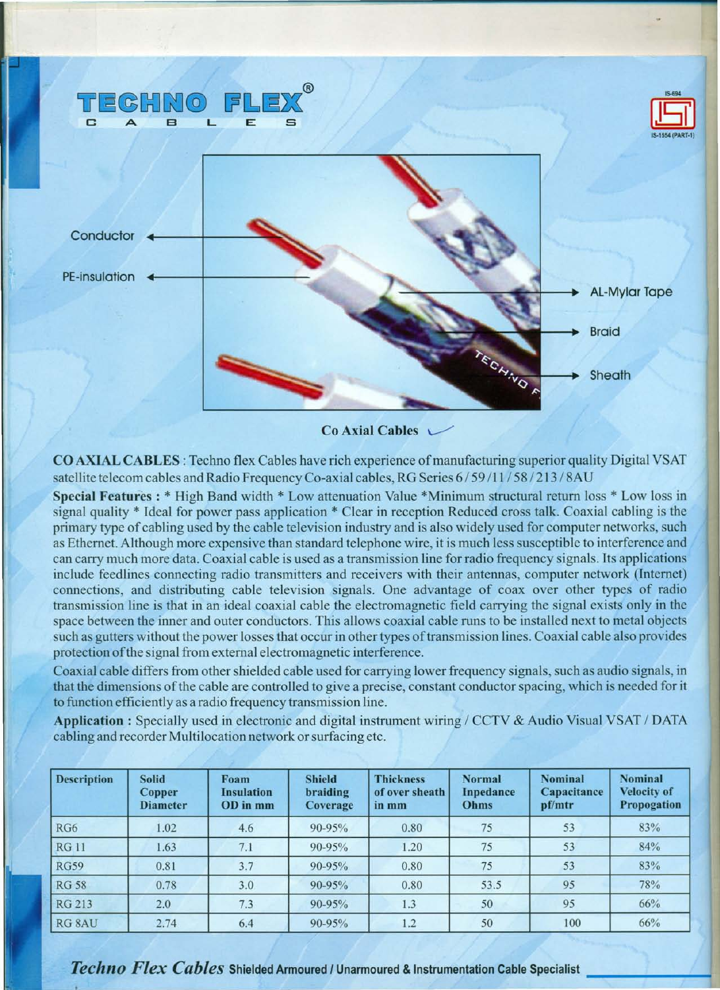

 $Co$  Axial Cables  $\sim$ 

CO AXIAL CABLES: Techno flex Cables have rich experience of manufacturing superior quality Digital VSAT satellite telecom cables and Radio Frequency Co-axial cables, RG Series 6/59/11/58/213/8AU

Special Features : \* High Band width \* Low attenuation Value \*Minimum structural return loss \* Low loss in signal quality \* Ideal for power pass application \* Clear in reception Reduced cross talk. Coaxial cabling is the primary type of cabling used by the cable television industry and is also widely used for computer networks, such as Ethernet. Although more expensive than standard telephone wire, it is much less susceptible to interference and can carry much more data. Coaxial cable is used as a transmission line for radio frequency signals. Its applications include feedlines connecting radio transmitters and receivers with their antennas, computer network (Internet) connections, and distributing cable television signals. One advantage of coax over other types of radio transmission line is that in an ideal coaxial cable the electromagnetic field carrying the signal exists only in the space between the inner and outer conductors. This allows coaxial cable runs to be installed next to metal objects such as gutters without the power losses that occur in other types of transmission lines. Coaxial cable also provides protection of the signal from external electromagnetic interference.

Coaxial cable differs from other shielded cable used for carrying lower frequency signals, such as audio signals, in that the dimensions of the cable are controlled to give a precise, constant conductor spacing, which is needed for it to function efficiently as a radio frequency transmission line.

Application: Specially used in electronic and digital instrument wiring / CCTV & Audio Visual VSAT / DATA cabling and recorder Multilocation network or surfacing etc.

| <b>Description</b> | <b>Solid</b><br><b>Copper</b><br><b>Diameter</b> | Foam<br><b>Insulation</b><br>OD in mm | <b>Shield</b><br>braiding<br>Coverage | <b>Thickness</b><br>of over sheath<br>in mm | <b>Normal</b><br>Inpedance<br>Ohms | <b>Nominal</b><br>Capacitance<br>pf/mtr | <b>Nominal</b><br><b>Velocity of</b><br>Propogation |
|--------------------|--------------------------------------------------|---------------------------------------|---------------------------------------|---------------------------------------------|------------------------------------|-----------------------------------------|-----------------------------------------------------|
| RG6                | 1.02                                             | 4.6                                   | 90-95%                                | 0.80                                        | 75                                 | 53                                      | 83%                                                 |
| <b>RG11</b>        | 1.63                                             | 7.1                                   | 90-95%                                | 1.20                                        | 75                                 | 53                                      | 84%                                                 |
| <b>RG59</b>        | 0.81                                             | 3.7                                   | 90-95%                                | 0.80                                        | 75                                 | 53                                      | 83%                                                 |
| <b>RG 58</b>       | 0.78                                             | 3.0                                   | 90-95%                                | 0.80                                        | 53.5                               | 95                                      | 78%                                                 |
| RG 213             | 2.0                                              | 7.3                                   | 90-95%                                | 1.3                                         | 50                                 | 95                                      | 66%                                                 |
| RG 8AU             | 2.74                                             | 6.4                                   | 90-95%                                | 1.2                                         | 50                                 | 100                                     | 66%                                                 |

*Techno Flex Cables* Shielded Armoured *<sup>I</sup>* Unarmoured & Instrumentation Cable Specialist \_